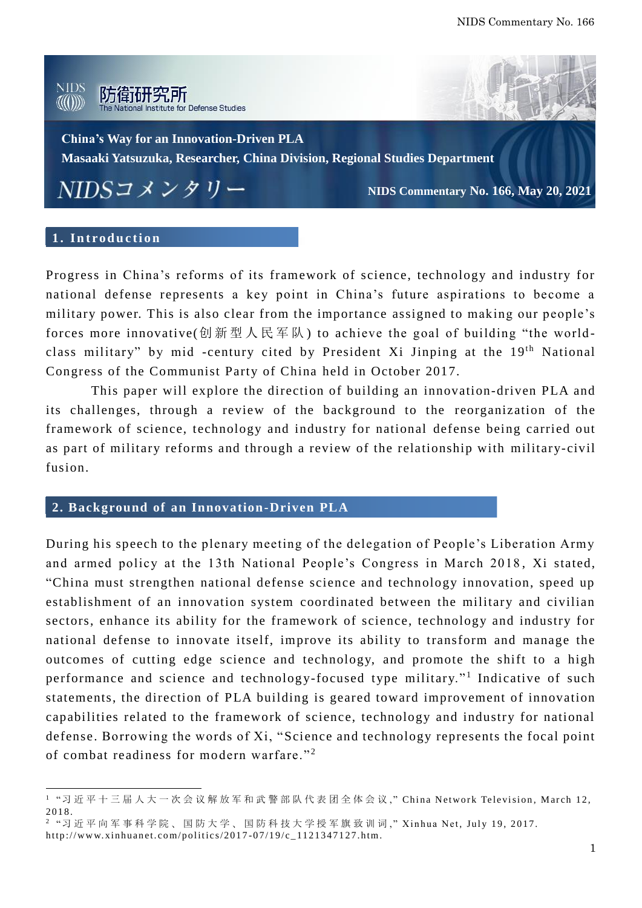

## 1. Introduction

 $\overline{a}$ 

Progress in China's reforms of its framework of science, technology and industry for national defense represents a key point in China's future aspirations to become a military power. This is also clear from the importance assigned to making our people's forces more innovative(创新型人民军队) to achieve the goal of building "the worldclass military" by mid -century cited by President Xi Jinping at the 19<sup>th</sup> National Congress of the Communist Party of China held in October 2017.

This paper will explore the direction of building an innovation-driven PLA and its challenges, through a review of the background to the reorganization of the framework of science, technology and industry for national defense being carried out as part of military reforms and through a review of the relationship with military-civil fusion.

## **2. Background of an Innovation-Driven PLA**

During his speech to the plenary meeting of the delegation of People's Liberation Army and armed policy at the 13th National People's Congress in March 2018 , Xi stated, "China must strengthen national defense science and technology innovation, speed up establishment of an innovation system coordinated between the military and civilian sectors, enhance its ability for the framework of science, technology and industry for national defense to innovate itself, improve its ability to transform and manage the outcomes of cutting edge science and technology, and promote the shift to a high performance and science and technology-focused type military."<sup>1</sup> Indicative of such statements, the direction of PLA building is geared toward improvement of innovation capabilities related to the framework of science, technology and industry for national defense. Borrowing the words of Xi, "Science and technology represents the focal point of combat readiness for modern warfare."<sup>2</sup>

<sup>&</sup>lt;sup>1</sup> "习 近 平 十 三 届 人 大 一 次 会 议 解 放 军 和 武 警 部 队 代 表 团 全 体 会 议 ," China Network Television, March 12, 2018.

<sup>&</sup>lt;sup>2</sup> " 习 近 平 向 军 事 科 学 院 、 国 防 大 学 、 国 防 科 技 大 学 授 军 旗 致 训 词 ," Xinhua Net, July 19, 2017. http://www.xinhuanet.com/politics/2017-07/19/c\_1121347127.htm.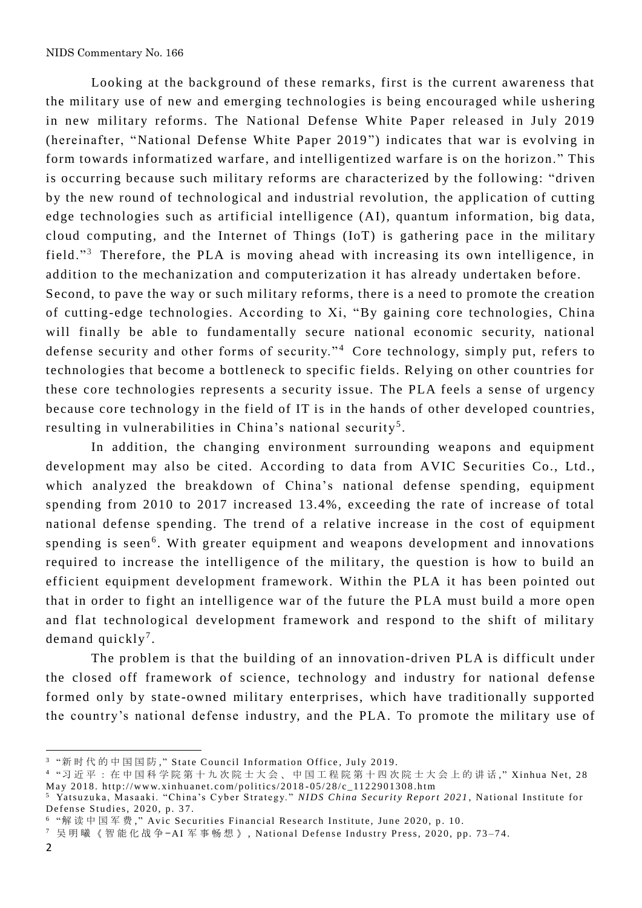Looking at the background of these remarks, first is the current awareness that the military use of new and emerging technologies is being encouraged while ushering in new military reforms. The National Defense White Paper released in July 2019 (hereinafter, "National Defense White Paper 2019 ") indicates that war is evolving in form towards informatized warfare, and intelligentized warfare is on the horizon." This is occurring because such military reforms are characterized by the following: "driven by the new round of technological and industrial revolution, the application of cutting edge technologies such as artificial intelligence (AI), quantum information, big data, cloud computing, and the Internet of Things (IoT) is gathering pace in the military field."<sup>3</sup> Therefore, the PLA is moving ahead with increasing its own intelligence, in addition to the mechanization and computerization it has already undertaken before. Second, to pave the way or such military reforms, there is a need to promote the creation

of cutting-edge technologies. According to Xi, "By gaining core technologies, China will finally be able to fundamentally secure national economic security, national defense security and other forms of security."<sup>4</sup> Core technology, simply put, refers to technologies that become a bottleneck to specific fields. Relying on other countries for these core technologies represents a security issue. The PLA feels a sense of urgency because core technology in the field of IT is in the hands of other developed countries, resulting in vulnerabilities in China's national security<sup>5</sup>.

In addition, the changing environment surrounding weapons and equipment development may also be cited. According to data from AVIC Securities Co., Ltd., which analyzed the breakdown of China's national defense spending, equipment spending from 2010 to 2017 increased 13.4%, exceeding the rate of increase of total national defense spending. The trend of a relative increase in the cost of equipment spending is seen<sup>6</sup>. With greater equipment and weapons development and innovations required to increase the intelligence of the military, the question is how to build an efficient equipment development framework. Within the PLA it has been pointed out that in order to fight an intelligence war of the future the PLA must build a more open and flat technological development framework and respond to the shift of military demand quickly<sup>7</sup>.

The problem is that the building of an innovation-driven PLA is difficult under the closed off framework of science, technology and industry for national defense formed only by state-owned military enterprises, which have traditionally supported the country's national defense industry, and the PLA. To promote the military use of

 $^3$  "新时代的中国国防," State Council Information Office, July 2019.

<sup>4 &</sup>quot;习 近 平 : 在 中 国 科 学 院 第 十 九 次 院 士 大 会 、 中 国 工 程 院 第 十 四 次 院 士 大 会 上 的 讲 话 ," Xinhua Net, 28 May 2018. http://www.xinhuanet.com/politics/2018-05/28/c\_1122901308.htm

<sup>&</sup>lt;sup>5</sup> Yatsuzuka, Masaaki. "China's Cyber Strategy." *NIDS China Security Report 2021*, National Institute for Defense Studies, 2020, p. 37.

 $^{\rm 6}$  "解读中国军费,"Avic Securities Financial Research Institute, June 2020, p. 10.

<sup>7</sup> 吴 明 曦 《 智 能 化 战 争 -AI 军 事 畅 想 》, National Defense Industry Press, 2020, pp. 73-74.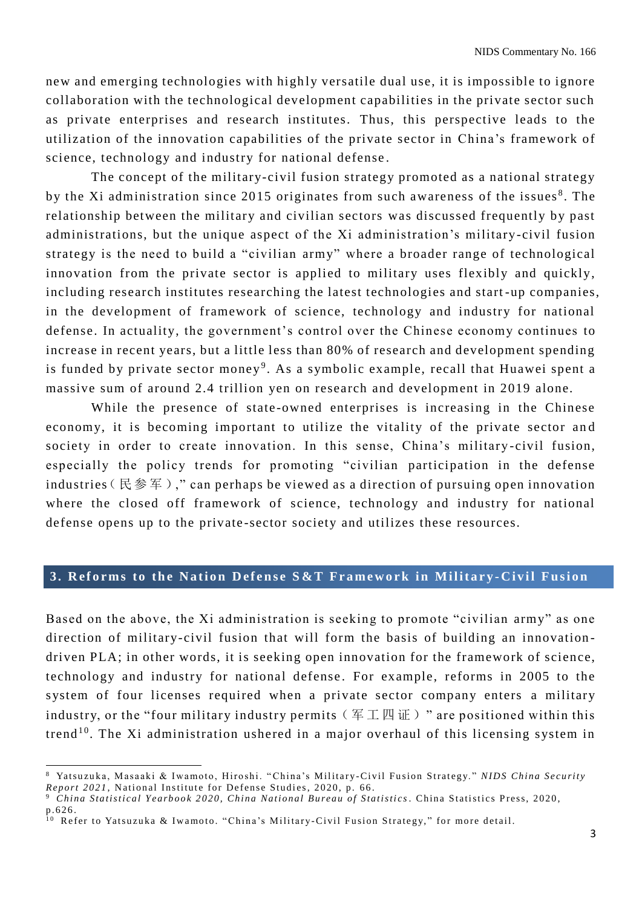new and emerging technologies with highly versatile dual use, it is impossible to ignore collaboration with the technological development capabilities in the private sector such as private enterprises and research institutes. Thus, this perspective leads to the utiliz ation of the innovation capabilities of the private sector in China's framework of science, technology and industry for national defense .

The concept of the military-civil fusion strategy promoted as a national strategy by the Xi administration since 2015 originates from such awareness of the issues<sup>8</sup>. The relationship between the military and civilian sectors was discussed frequently by past administrations, but the unique aspect of the Xi administration's military-civil fusion strategy is the need to build a "civilian army" where a broader range of technological innovation from the private sector is applied to military uses flexibly and quickly, including research institutes researching the latest technologies and start -up companies, in the development of framework of science, technology and industry for national defense. In actuality, the government's control over the Chinese economy continues to increase in recent years, but a little less than 80% of research and development spending is funded by private sector money<sup>9</sup>. As a symbolic example, recall that Huawei spent a massive sum of around 2.4 trillion yen on research and development in 2019 alone.

While the presence of state -owned enterprises is increasing in the Chinese economy, it is becoming important to utilize the vitality of the private sector and society in order to create innovation. In this sense, China's military -civil fusion, especially the policy trends for promoting "civilian participation in the defense industries (民参军)," can perhaps be viewed as a direction of pursuing open innovation where the closed off framework of science, technology and industry for national defense opens up to the private -sector society and utilizes these resources.

# 3. Reforms to the Nation Defense S&T Framework in Military-Civil Fusion

Based on the above, the Xi administration is seeking to promote "civilian army" as one direction of military-civil fusion that will form the basis of building an innovation driven PLA; in other words, it is seeking open innovation for the framework of science, technology and industry for national defense. For example, reforms in 2005 to the system of four licenses required when a private sector company enters a military industry, or the "four military industry permits ( $\mathbb{F} \perp \mathbb{Z} \parallel \mathbb{F}$ ) " are positioned within this trend<sup>10</sup>. The Xi administration ushered in a major overhaul of this licensing system in

<sup>8</sup> Yatsuzuka, Masaaki & Iwamoto, Hiroshi. "China's Military-Civil Fusion Strategy." NIDS China Security *Report 2021*, National Institute for Defense Studies, 2020, p. 66.

<sup>&</sup>lt;sup>9</sup> *China Statistical Yearbook 2020, China National Bureau of Statistics. China Statistics Press, 2020,*  $p.626.$ 

<sup>&</sup>lt;sup>10</sup> Refer to Yatsuzuka & Iwamoto. "China's Military-Civil Fusion Strategy," for more detail.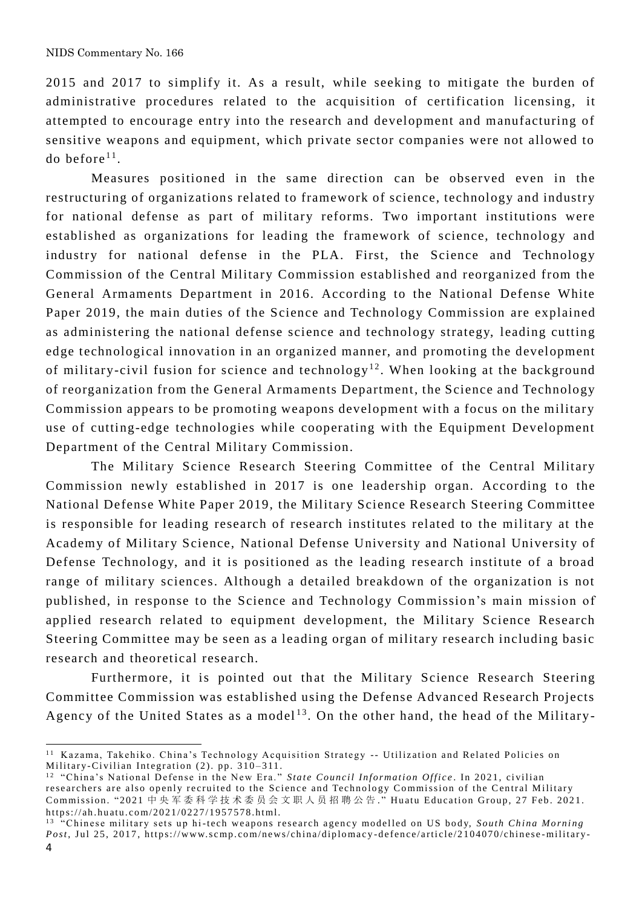2015 and 2017 to simplify it. As a result, while seeking to mitigate the burden of administrative procedures related to the acquisition of certification licensing, it attempted to encourage entry into the research and development and manufacturing of sensitive weapons and equipment, which private sector companies were not allowed to do before $^{11}$ .

Measures positioned in the same direction can be observed even in the restructuring of organizations related to framework of science, technology and industry for national defense as part of military reforms. Two important institutions were established as organizations for leading the framework of science, technology and industry for national defense in the PLA. First, the Science and Technology Commission of the Central Military Commission established and reorganized from the General Armaments Department in 2016. According to the National Defense White Paper 2019, the main duties of the Science and Technology Commission are explained as administering the national defense science and technology strategy, leading cutting edge technological innovation in an organized manner, and promoting the development of military-civil fusion for science and technology<sup>12</sup>. When looking at the background of reorganization from the General Armaments Department, the Science and Technology Commission appears to be promoting weapons development with a focus on the military use of cutting-edge technologies while cooperating with the Equipment Development Department of the Central Military Commission.

The Military Science Research Steering Committee of the Central Military Commission newly established in 2017 is one leadership organ. According to the National Defense White Paper 2019, the Military Science Research Steering Committee is responsible for leading research of research institutes related to the military at the Academy of Military Science, National Defense University and National University of Defense Technology, and it is positioned as the leading research institute of a broad range of military sciences. Although a detailed breakdown of the organization is not published, in response to the Science and Technology Commission's main mission of applied research related to equipment development, the Military Science Research Steering Committee may be seen as a leading organ of military research including basic research and theoretical research.

Furthermore, it is pointed out that the Military Science Research Steering Committee Commission was established using the Defense Advanced Research Projects Agency of the United States as a model<sup>13</sup>. On the other hand, the head of the Military-

 $11$  Kazama, Takehiko. China's Technology Acquisition Strategy -- Utilization and Related Policies on Military-Civilian Integration (2). pp. 310-311.

<sup>&</sup>lt;sup>12</sup> "China's National Defense in the New Era." *State Council Information Office*. In 2021, civilian researchers are also openly recruited to the Science and Technology Commission of the Central Military Commission. "2021 中央军委科学技术委员会文职人员招聘公告." Huatu Education Group, 27 Feb. 2021. https://ah.huatu.com/2021/0227/1957578.html.

<sup>&</sup>lt;sup>4</sup> Chinese military sets up hi-tech weapons research agency modelled on US body, *South China Morning Post*, Jul 25, 2017, https://www.scmp.com/news/china/diplomacy-defence/article/2104070/chinese-military-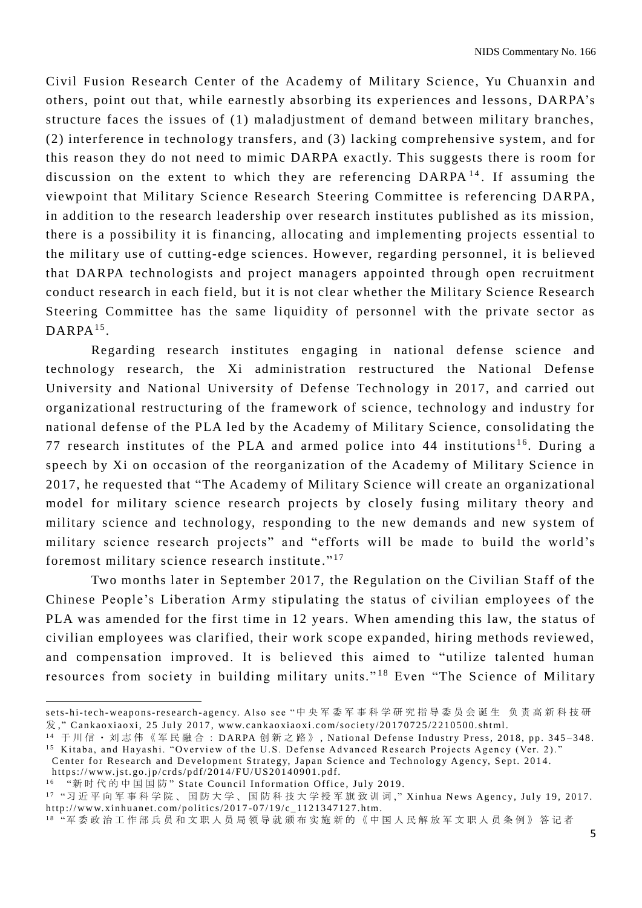Civil Fusion Research Center of the Academy of Military Science, Yu Chuanxin and others, point out that, while earnestly absorbing its experiences and lessons, DARPA's structure faces the issues of (1) maladjustment of demand between military branches, (2) interference in technology transfers, and (3) lacking comprehensive system, and for this reason they do not need to mimic DARPA exactly. This suggests there is room for discussion on the extent to which they are referencing  $DARPA<sup>14</sup>$ . If assuming the viewpoint that Military Science Research Steering Committee is referencing DARPA, in addition to the research leadership over research institutes published as its mission, there is a possibility it is financing, allocating and implementing projects essential to the military use of cutting-edge sciences. However, regarding personnel, it is believed that DARPA technologists and project managers appointed through open recruitment conduct research in each field, but it is not clear whether the Military Science Research Steering Committee has the same liquidity of personnel with the private sector as  $\text{DARR}^{15}$ .

Regarding research institutes engaging in national defense science and technology research, the Xi administration restructured the National Defense University and National University of Defense Tech nology in 2017, and carried out organizational restructuring of the framework of science, technology and industry for national defense of the PLA led by the Academy of Military Science, consolidating the 77 research institutes of the PLA and armed police into 44 institutions<sup>16</sup>. During a speech by Xi on occasion of the reorganization of the Academy of Military Science in 2017, he requested that "The Academy of Military Science will create an organizational model for military science research projects by closely fusing military theory and military science and technology, responding to the new demands and new system of military science research projects" and "efforts will be made to build the world's foremost military science research institute."<sup>17</sup>

Two months later in September 2017, the Regulation on the Civilian Staff of the Chinese People's Liberation Army stipulating the status of civilian employees of the PLA was amended for the first time in 12 years. When amending this law, the status of civilian employees was clarified, their work scope expanded, hiring methods reviewed, and compensation improved. It is believed this aimed to "utilize talented human resources from society in building military units."<sup>18</sup> Even "The Science of Military

https://www.jst.go.jp/crds/pdf/2014/FU/US20140901.pdf.

sets-hi-tech-weapons-research-agency. Also see "中 央 军 委 军 事 科 学 研 究 指 导 委 员 会 诞 生 负 责 高 新 科 技 研  $\#$ ," Cankaoxiaoxi, 25 July 2017, www.cankaoxiaoxi.com/society/20170725/2210500.shtml.

<sup>14</sup> 于川信· 刘志伟《军民融合: DARPA 创新之路》, National Defense Industry Press, 2018, pp. 345-348. <sup>15</sup> Kitaba, and Hayashi. "Overview of the U.S. Defense Advanced Research Projects Agency (Ver. 2)."

Center for Research and Development Strategy, Japan Science and Technology Agency, Sept. 2014.

<sup>&</sup>lt;sup>16</sup> "新时代的中国国防"State Council Information Office, July 2019.

<sup>17 &</sup>quot;习 近 平 向 军 事 科 学 院 、 国 防 大 学 、 国 防 科 技 大 学 授 军 旗 致 训 词 ," Xinhua News Agency, July 19, 2017. http://www.xinhuanet.com/politics/2017-07/19/c\_1121347127.htm.

<sup>1 8</sup> "军 委政治工作部兵 员 和 文 职 人 员 局 领 导 就 颁 布 实 施新的《中国人民解放 军 文 职 人 员 条例》答 记 者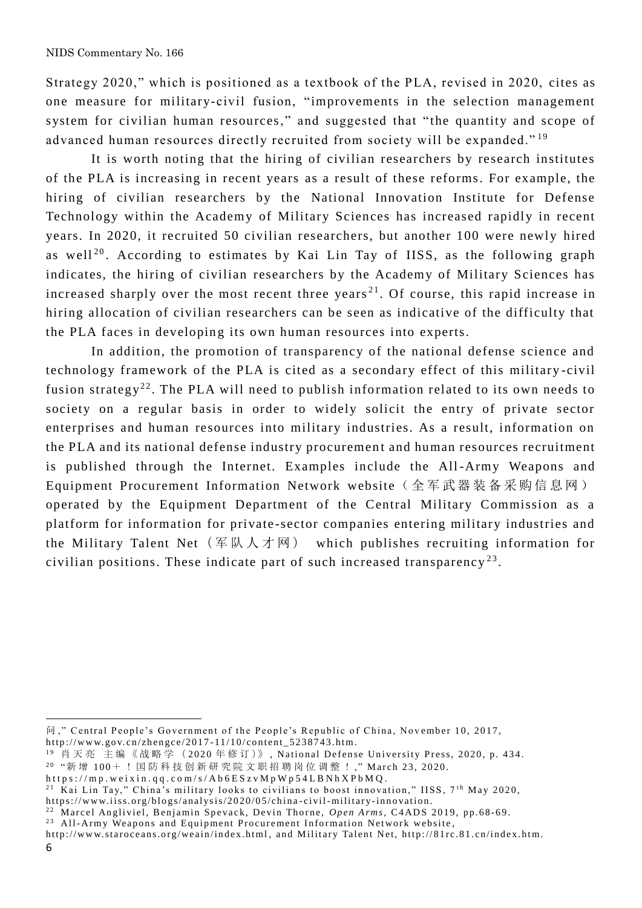Strategy 2020," which is positioned as a textbook of the PLA, revised in 2020, cites as one measure for military-civil fusion, "improvements in the selection management system for civilian human resources," and suggested that " the quantity and scope of advanced human resources directly recruited from society will be expanded."<sup>19</sup>

It is worth noting that the hiring of civilian researchers by research institutes of the PLA is increasing in recent years as a result of these reforms. For example, the hiring of civilian researchers by the National Innovation Institute for Defense Technology within the Academy of Military Sciences has increased rapidly in recent years. In 2020, it recruited 50 civilian researchers, but another 100 were newly hired as well<sup>20</sup>. According to estimates by Kai Lin Tay of IISS, as the following graph indicates, the hiring of civilian researchers by the Academy of Military Sciences has increased sharply over the most recent three years<sup>21</sup>. Of course, this rapid increase in hiring allocation of civilian researchers can be seen as indicative of the difficulty that the PLA faces in developing its own human resources into experts.

In addition, the promotion of transparency of the national defense science and technology framework of the PLA is cited as a secondary effect of this military -civil fusion strategy<sup>22</sup>. The PLA will need to publish information related to its own needs to society on a regular basis in order to widely solicit the entry of private sector enterprises and human resources into military industries. As a result, information on the PLA and its national defense industry procurement and human resources recruitment is published through the Internet. Examples include the All -Army Weapons and Equipment Procurement Information Network website (全军武器装备采购信息网) operated by the Equipment Department of the Central Military Commission as a platform for information for private -sector companies entering military industries and the Military Talent Net  $(\nsubseteq \mathbb{K} \setminus \mathcal{F} \setminus \mathbb{N})$  which publishes recruiting information for civilian positions. These indicate part of such increased transparency<sup>23</sup>.

问," Central People's Government of the People's Republic of China, November 10, 2017, http://www.gov.cn/zhengce/2017-11/10/content\_5238743.htm.

<sup>&</sup>lt;sup>19</sup> 肖天亮 主编《战略学 (2020年修订)》, National Defense University Press, 2020, p. 434.

<sup>&</sup>lt;sup>20</sup> "新 增 100+ ! 国 防 科 技 创 新 研 究 院 文 职 招 聘 岗 位 调 整 ! ," March 23, 2020.

https://mp.weixin.qq.com/s/Ab6ESzvMpWp54LBNhXPbMQ.

<sup>&</sup>lt;sup>21</sup> Kai Lin Tay," China's military looks to civilians to boost innovation," IISS,  $7<sup>th</sup>$  May 2020, https://www.iiss.org/blogs/analysis/2020/05/china-civil-military-innovation.

<sup>&</sup>lt;sup>22</sup> Marcel Angliviel, Benjamin Spevack, Devin Thorne, *Open Arms*, C4ADS 2019, pp.68-69.

<sup>&</sup>lt;sup>23</sup> All-Army Weapons and Equipment Procurement Information Network website,

http://www.staroceans.org/weain/index.html, and Military Talent Net, http://81rc.81.cn/index.htm.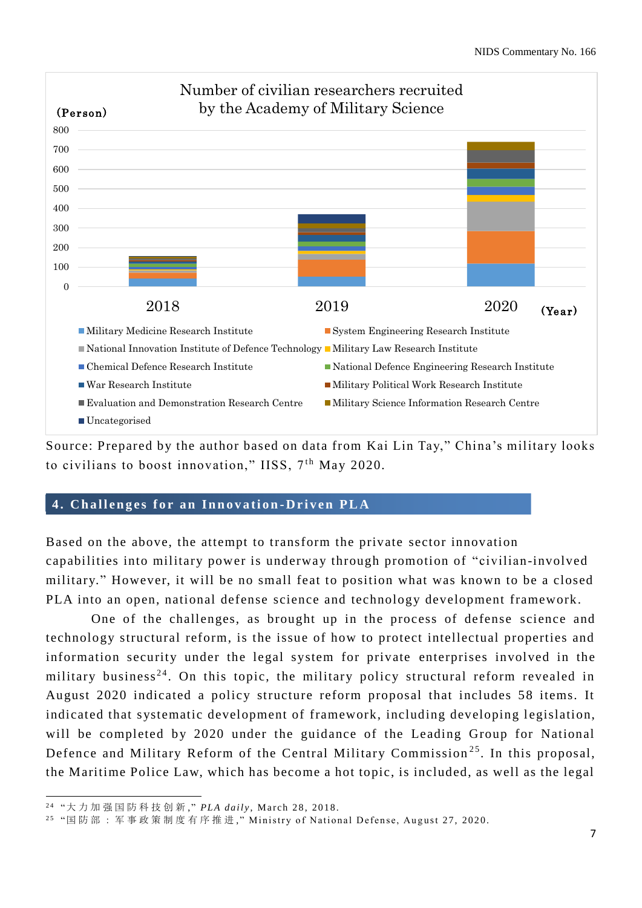

Source: Prepared by the author based on data from Kai Lin Tay," China's military looks to civilians to boost innovation," IISS,  $7<sup>th</sup>$  May 2020.

### **4 . C h a l l e n g e s f o r a n I n n o v a t i o n -D r i v e n P L A**

Based on the above, the attempt to transform the private sector innovation capabilities into military power is underway through promotion of "civilian-involved military." However, it will be no small feat to position what was known to be a closed PLA into an open, national defense science and technology development framework.

One of the challenges, as brought up in the process of defense science and technology structural reform, is the issue of how to protect intellectual properties and information security under the legal system for private enterprises involved in the military business<sup>24</sup>. On this topic, the military policy structural reform revealed in August 2020 indicated a policy structure reform proposal that includes 58 items. It indicated that systematic development of framework, including developing legislation, will be completed by 2020 under the guidance of the Leading Group for National Defence and Military Reform of the Central Military Commission<sup>25</sup>. In this proposal, the Maritime Police Law, which has become a hot topic, is included, as well as the legal

<sup>&</sup>lt;sup>24</sup> "大力加强国防科技创新,"PLA daily, March 28, 2018.

<sup>&</sup>lt;sup>25</sup> "国 防 部 : 军 事 政 策 制 度 有 序 推 进 ,"Ministry of National Defense, August 27, 2020.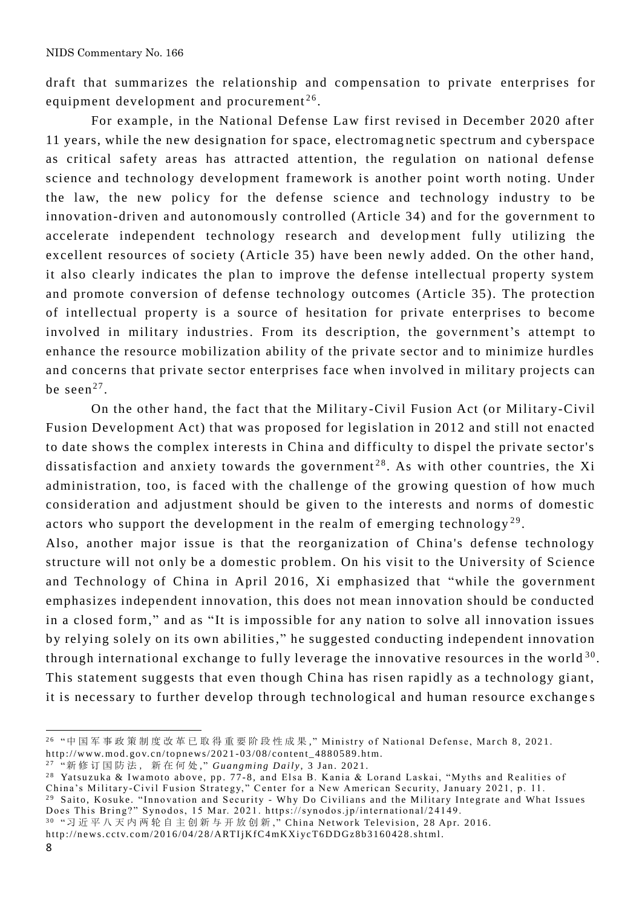draft that summarizes the relationship and compensation to private enterprises for equipment development and procurement<sup>26</sup>.

For example, in the National Defense Law first revised in December 2020 after 11 years, while the new designation for space, electromag netic spectrum and cyberspace as critical safety areas has attracted attention, the regulation on national defense science and technology development framework is another point worth noting. Under the law, the new policy for the defense science and technology industry to be innovation-driven and autonomously controlled (Article 34) and for the government to accelerate independent technology research and development fully utilizing the excellent resources of society (Article 35) have been newly added. On the other hand, it also clearly indicates the plan to improve the defense intellectual property system and promote conversion of defense technology outcomes (Article 35). The protection of intellectual property is a source of hesitation for private enterprises to become involved in military industries. From its description, the government's attempt to enhance the resource mobilization ability of the private sector and to minimize hurdles and concerns that private sector enterprises face when involved in military projects can be seen $^{27}$ .

On the other hand, the fact that the Military -Civil Fusion Act (or Military-Civil Fusion Development Act) that was proposed for legislation in 2012 and still not enacted to date shows the complex interests in China and difficulty to dispel the private sector's dissatisfaction and anxiety towards the government<sup>28</sup>. As with other countries, the Xi administration, too, is faced with the challenge of the growing question of how much consideration and adjustment should be given to the interests and norms of domestic actors who support the development in the realm of emerging technology<sup>29</sup>.

Also, another major issue is that the reorganization of China's defense technology structure will not only be a domestic problem. On his visit to the University of Science and Technology of China in April 2016, Xi emphasized that "while the government emphasizes independent innovation, this does not mean innovation should be conducted in a closed form," and as "It is impossible for any nation to solve all innovation issues by relying solely on its own abilities," he suggested conducting independent innovation through international exchange to fully leverage the innovative resources in the world  $^{30}$ . This statement suggests that even though China has risen rapidly as a technology giant, it is necessary to further develop through technological and human resource exchange s

<sup>&</sup>lt;sup>26</sup> "中 国 军 事 政 策 制 度 改 革 已 取 得 重 要 阶 段 性 成 果 ,"Ministry of National Defense, March 8, 2021.

http://www.mod.gov.cn/topnews/2021-03/08/content\_4880589.htm.

<sup>&</sup>lt;sup>27</sup> "新 修 订 国 防 法 , 新 在 何 处 ," *Guangming Daily* , 3 Jan. 2021.

<sup>&</sup>lt;sup>28</sup> Yatsuzuka & Iwamoto above, pp. 77-8, and Elsa B. Kania & Lorand Laskai, "Myths and Realities of China's Military-Civil Fusion Strategy," Center for a New American Security, January 2021, p. 11.

 $^{29}$  Saito, Kosuke. "Innovation and Security - Why Do Civilians and the Military Integrate and What Issues Does This Bring?" Synodos, 15 Mar. 2021. https://synodos.jp/international/24149.<br><sup>30</sup> "习近平八天内两轮自主创新与开放创新," China Network Television, 28 Apr. 2016.

h ttp ://n e ws. cct v.co m/2 0 1 6 /0 4 /2 8 / ARTI jK fC4 mKX i yc T6 D D Gz8 b 3 1 6 0 4 2 8 .sh t ml.